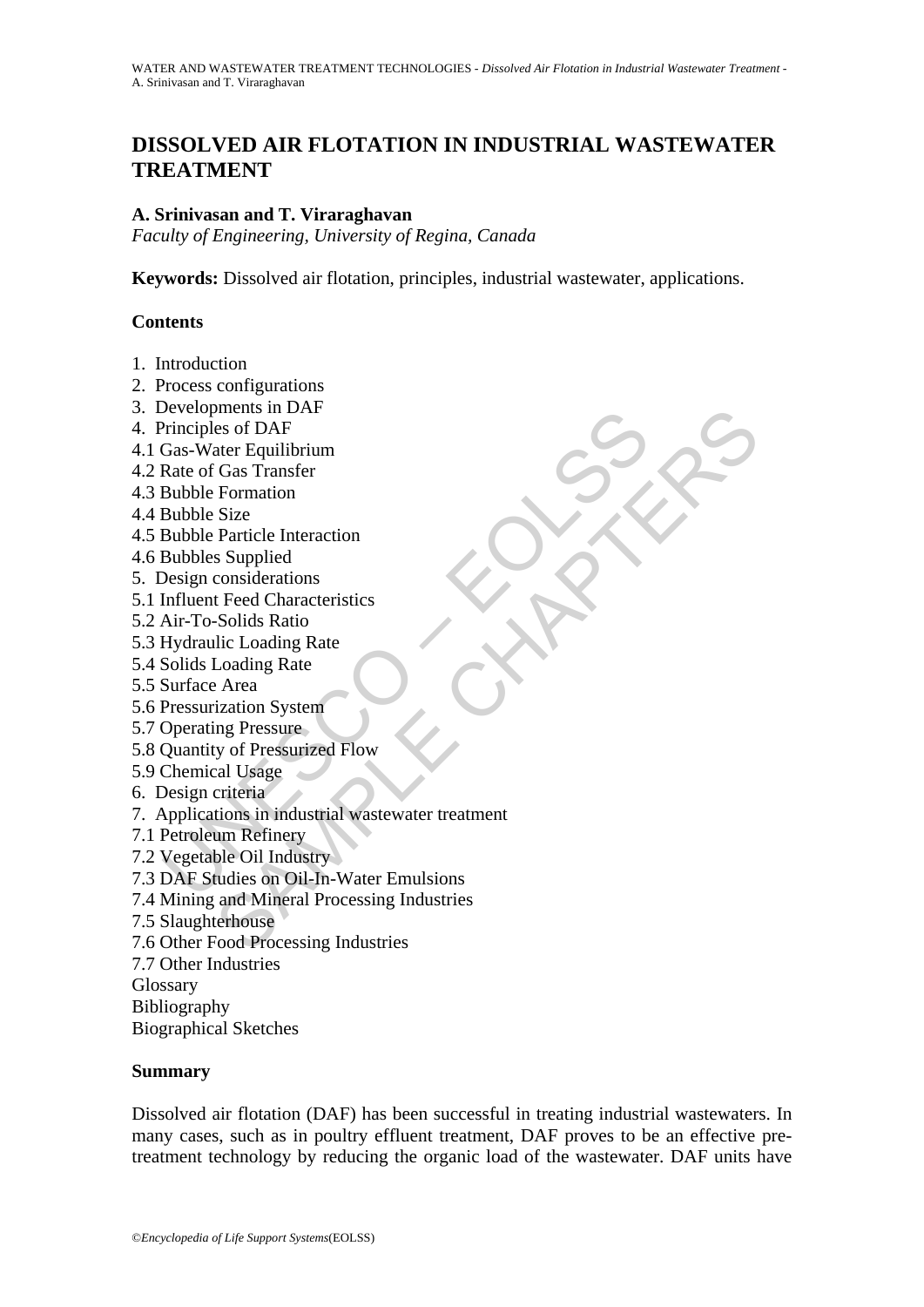# **DISSOLVED AIR FLOTATION IN INDUSTRIAL WASTEWATER TREATMENT**

#### **A. Srinivasan and T. Viraraghavan**

*Faculty of Engineering, University of Regina, Canada* 

**Keywords:** Dissolved air flotation, principles, industrial wastewater, applications.

#### **Contents**

- 1. Introduction
- 2. Process configurations
- 3. Developments in DAF
- 4. Principles of DAF
- 4.1 Gas-Water Equilibrium
- 4.2 Rate of Gas Transfer
- 4.3 Bubble Formation
- 4.4 Bubble Size
- 4.5 Bubble Particle Interaction
- 4.6 Bubbles Supplied
- 5. Design considerations
- 5.1 Influent Feed Characteristics
- 5.2 Air-To-Solids Ratio
- 5.3 Hydraulic Loading Rate
- 5.4 Solids Loading Rate
- 5.5 Surface Area
- 5.6 Pressurization System
- 5.7 Operating Pressure
- 5.8 Quantity of Pressurized Flow
- 5.9 Chemical Usage
- 6. Design criteria
- Everyopenens in DAF<br>
Principles of DAF<br>
Principles of DAF<br>
Gas-Water Equilibrium<br>
Rate of Gas Transfer<br>
Bubble Formation<br>
Bubbles Supplied<br>
Design considerations<br>
Influent Feed Characteristics<br>
Air-To-Solids Ratio<br>
Hydraul ments in DAF<br>
es of DAF<br>
es of DAF<br>
der Equilibrium<br>
Gas Transfer<br>
Particle Interaction<br>
Size<br>
Particle Interaction<br>
Size<br>
Particle Interaction<br>
Subgiled<br>
Loading Rate<br>
Loading Rate<br>  $\lambda$  Area<br>  $\lambda$  Area<br>  $\lambda$  Area<br>
vical 7. Applications in industrial wastewater treatment
- 7.1 Petroleum Refinery
- 7.2 Vegetable Oil Industry
- 7.3 DAF Studies on Oil-In-Water Emulsions
- 7.4 Mining and Mineral Processing Industries
- 7.5 Slaughterhouse
- 7.6 Other Food Processing Industries
- 7.7 Other Industries
- Glossary
- Bibliography
- Biographical Sketches

#### **Summary**

Dissolved air flotation (DAF) has been successful in treating industrial wastewaters. In many cases, such as in poultry effluent treatment, DAF proves to be an effective pretreatment technology by reducing the organic load of the wastewater. DAF units have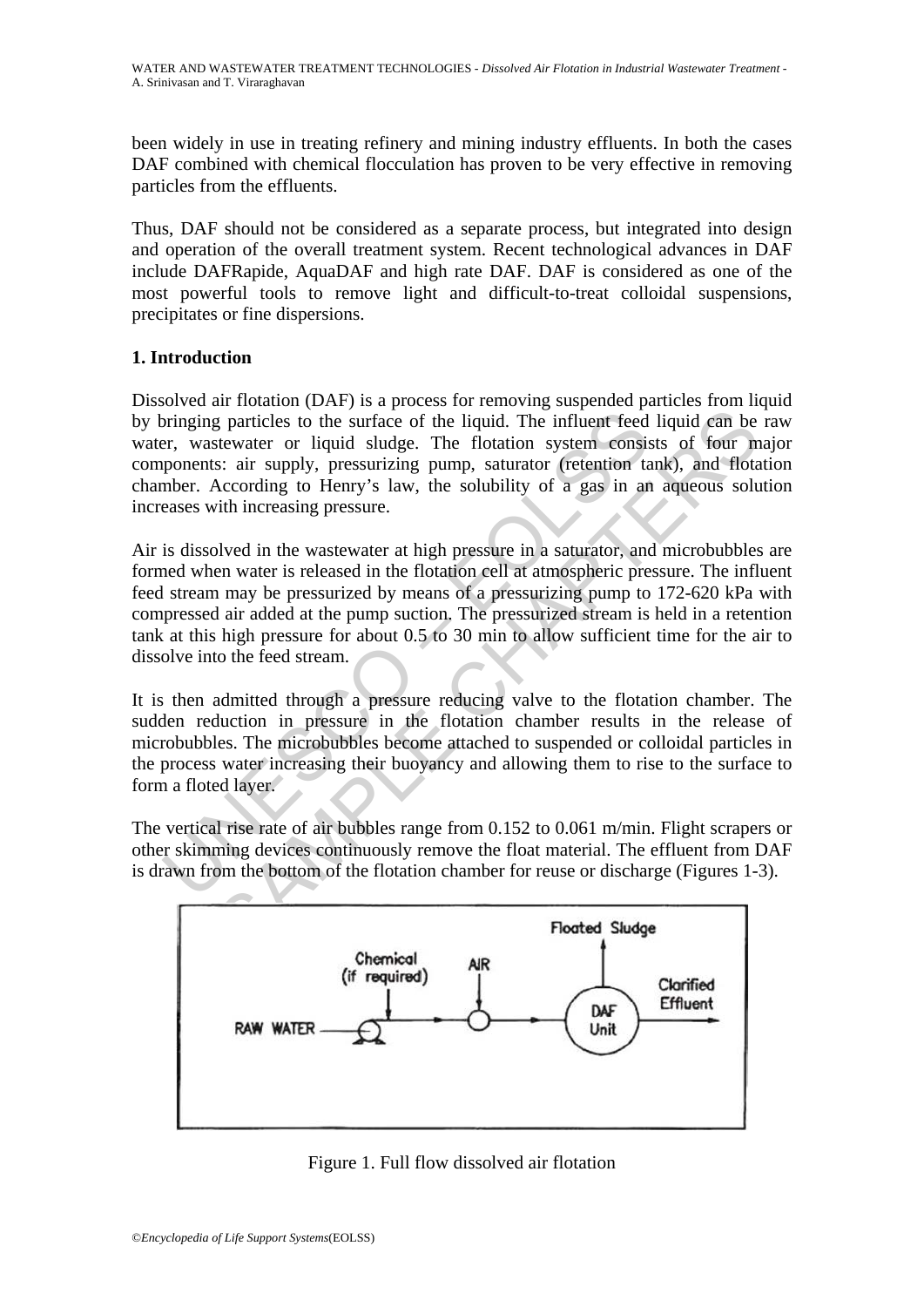been widely in use in treating refinery and mining industry effluents. In both the cases DAF combined with chemical flocculation has proven to be very effective in removing particles from the effluents.

Thus, DAF should not be considered as a separate process, but integrated into design and operation of the overall treatment system. Recent technological advances in DAF include DAFRapide, AquaDAF and high rate DAF. DAF is considered as one of the most powerful tools to remove light and difficult-to-treat colloidal suspensions, precipitates or fine dispersions.

# **1. Introduction**

Dissolved air flotation (DAF) is a process for removing suspended particles from liquid by bringing particles to the surface of the liquid. The influent feed liquid can be raw water, wastewater or liquid sludge. The flotation system consists of four major components: air supply, pressurizing pump, saturator (retention tank), and flotation chamber. According to Henry's law, the solubility of a gas in an aqueous solution increases with increasing pressure.

between the surface of the liquid. The influent feed<br>er, wastewater or liquid sludge. The filomat feed<br>er, wastewater or liquid sludge. The flotation system consis<br>ponents: air supply, pressurizing pump, saturator (retent grap particles to the surface of the liquid. The influent feed liquid can be<br>stewater or liquid sludge. The floation system consists of four m<br>station and float<br>excerding to Henry's law, the solubility of a gas in an aqueo Air is dissolved in the wastewater at high pressure in a saturator, and microbubbles are formed when water is released in the flotation cell at atmospheric pressure. The influent feed stream may be pressurized by means of a pressurizing pump to 172-620 kPa with compressed air added at the pump suction. The pressurized stream is held in a retention tank at this high pressure for about 0.5 to 30 min to allow sufficient time for the air to dissolve into the feed stream.

It is then admitted through a pressure reducing valve to the flotation chamber. The sudden reduction in pressure in the flotation chamber results in the release of microbubbles. The microbubbles become attached to suspended or colloidal particles in the process water increasing their buoyancy and allowing them to rise to the surface to form a floted layer.

The vertical rise rate of air bubbles range from 0.152 to 0.061 m/min. Flight scrapers or other skimming devices continuously remove the float material. The effluent from DAF is drawn from the bottom of the flotation chamber for reuse or discharge (Figures 1-3).



Figure 1. Full flow dissolved air flotation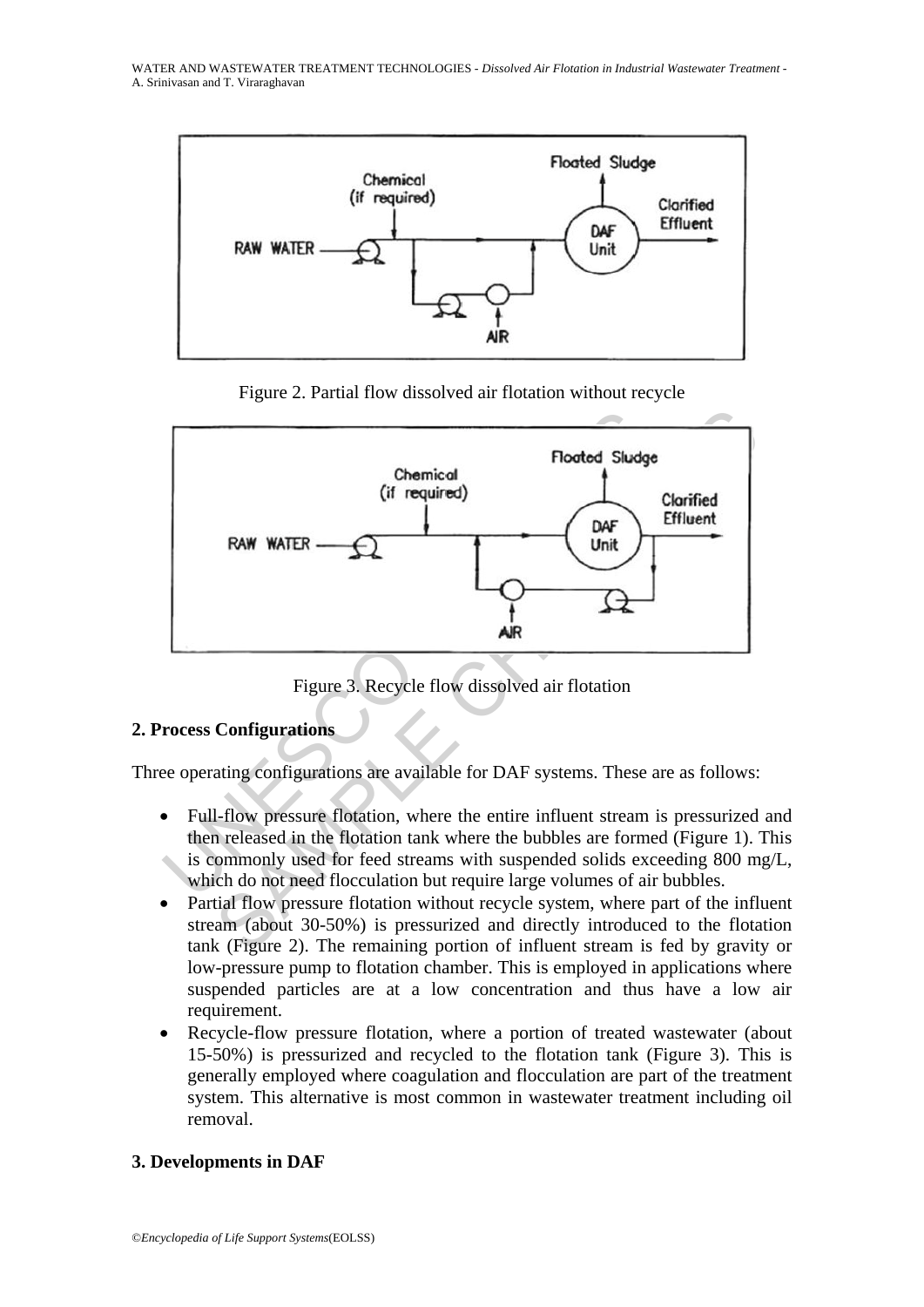WATER AND WASTEWATER TREATMENT TECHNOLOGIES - *Dissolved Air Flotation in Industrial Wastewater Treatment* - A. Srinivasan and T. Viraraghavan







Figure 3. Recycle flow dissolved air flotation

#### **2. Process Configurations**

Three operating configurations are available for DAF systems. These are as follows:

- Full-flow pressure flotation, where the entire influent stream is pressurized and then released in the flotation tank where the bubbles are formed (Figure 1). This is commonly used for feed streams with suspended solids exceeding 800 mg/L, which do not need flocculation but require large volumes of air bubbles.
- Partial flow pressure flotation without recycle system, where part of the influent stream (about 30-50%) is pressurized and directly introduced to the flotation tank (Figure 2). The remaining portion of influent stream is fed by gravity or low-pressure pump to flotation chamber. This is employed in applications where suspended particles are at a low concentration and thus have a low air requirement.
- Recycle-flow pressure flotation, where a portion of treated wastewater (about 15-50%) is pressurized and recycled to the flotation tank (Figure 3). This is generally employed where coagulation and flocculation are part of the treatment system. This alternative is most common in wastewater treatment including oil removal.

# **3. Developments in DAF**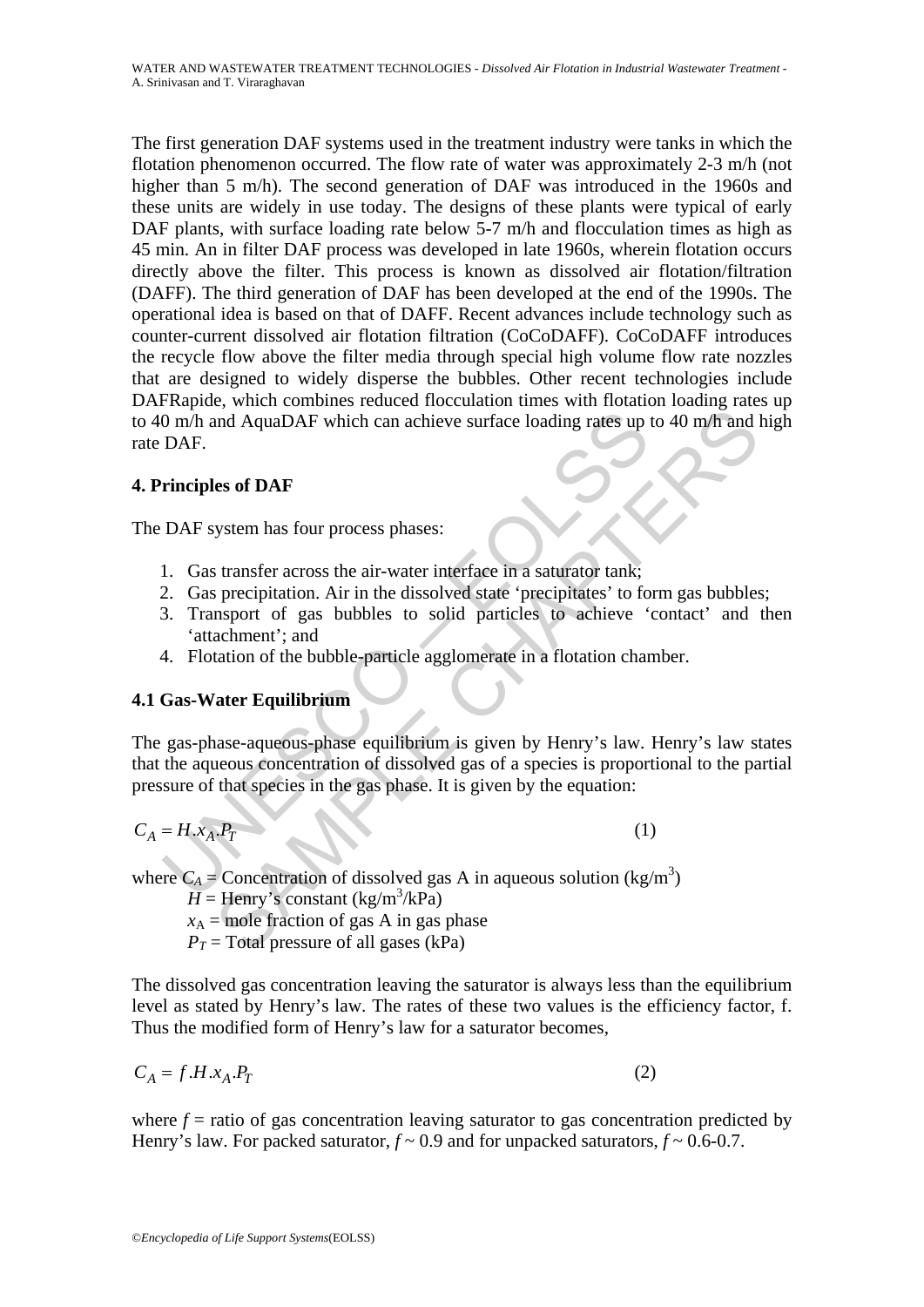The first generation DAF systems used in the treatment industry were tanks in which the flotation phenomenon occurred. The flow rate of water was approximately 2-3 m/h (not higher than 5 m/h). The second generation of DAF was introduced in the 1960s and these units are widely in use today. The designs of these plants were typical of early DAF plants, with surface loading rate below 5-7 m/h and flocculation times as high as 45 min. An in filter DAF process was developed in late 1960s, wherein flotation occurs directly above the filter. This process is known as dissolved air flotation/filtration (DAFF). The third generation of DAF has been developed at the end of the 1990s. The operational idea is based on that of DAFF. Recent advances include technology such as counter-current dissolved air flotation filtration (CoCoDAFF). CoCoDAFF introduces the recycle flow above the filter media through special high volume flow rate nozzles that are designed to widely disperse the bubbles. Other recent technologies include DAFRapide, which combines reduced flocculation times with flotation loading rates up to 40 m/h and AquaDAF which can achieve surface loading rates up to 40 m/h and high rate DAF.

# **4. Principles of DAF**

The DAF system has four process phases:

- 1. Gas transfer across the air-water interface in a saturator tank;
- 2. Gas precipitation. Air in the dissolved state 'precipitates' to form gas bubbles;
- 3. Transport of gas bubbles to solid particles to achieve 'contact' and then 'attachment'; and
- 4. Flotation of the bubble-particle agglomerate in a flotation chamber.

# **4.1 Gas-Water Equilibrium**

0 m/h and AquaDAF which can achieve surface loading rates up<br>
DAF.<br>
Trinciples of DAF<br>
DAF system has four process phases:<br>
1. Gas transfer across the air-water interface in a saturator tank;<br>
2. Gas precipitation. Air in and AquaDAF which can achieve surface loading rates up to 40 m/h and<br> **Example 5** of **DAF**<br>
Stamsfer across the air-water interface in a saturator tank;<br>
stamsfer across the air-water interface in a saturator tank;<br>
speci The gas-phase-aqueous-phase equilibrium is given by Henry's law. Henry's law states that the aqueous concentration of dissolved gas of a species is proportional to the partial pressure of that species in the gas phase. It is given by the equation:

$$
C_A = H \cdot x_A \cdot P_T \tag{1}
$$

where  $C_A$  = Concentration of dissolved gas A in aqueous solution (kg/m<sup>3</sup>)

 $H =$  Henry's constant (kg/m<sup>3</sup>/kPa)

 $x_A$  = mole fraction of gas A in gas phase  $P_T$  = Total pressure of all gases (kPa)

The dissolved gas concentration leaving the saturator is always less than the equilibrium level as stated by Henry's law. The rates of these two values is the efficiency factor, f. Thus the modified form of Henry's law for a saturator becomes,

$$
C_A = f.H.x_A.P_T \tag{2}
$$

where  $f =$  ratio of gas concentration leaving saturator to gas concentration predicted by Henry's law. For packed saturator,  $f \sim 0.9$  and for unpacked saturators,  $f \sim 0.6$ -0.7.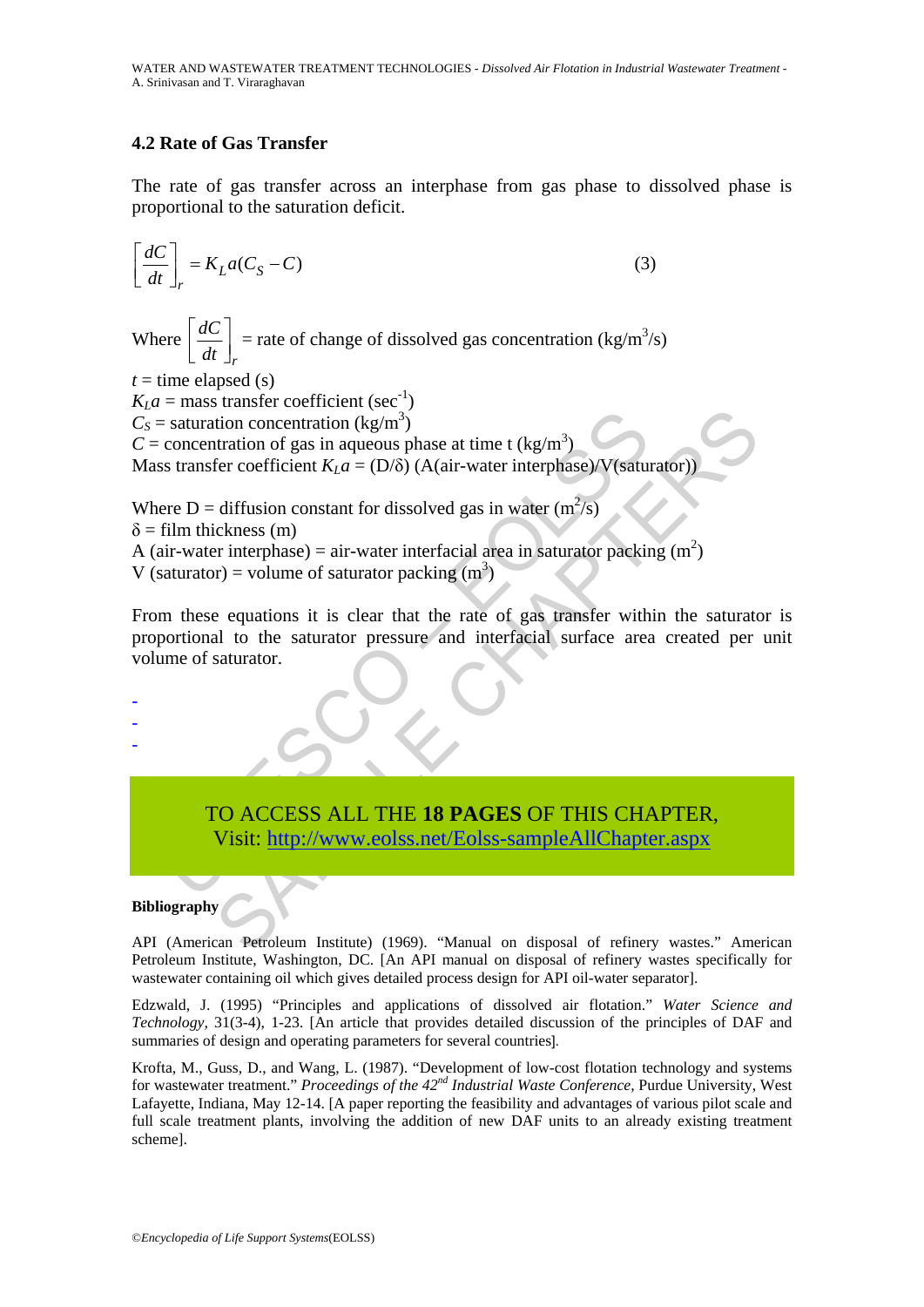# **4.2 Rate of Gas Transfer**

The rate of gas transfer across an interphase from gas phase to dissolved phase is proportional to the saturation deficit.

$$
\left[\frac{dC}{dt}\right]_r = K_L a (C_S - C) \tag{3}
$$

Where *r dC dt*  $\left[ \frac{dC}{dt} \right]_r$  = rate of change of dissolved gas concentration (kg/m<sup>3</sup>/s)

 $t =$  time elapsed (s)

 $K<sub>L</sub>a$  = mass transfer coefficient (sec<sup>-1</sup>)

 $C_S$  = saturation concentration (kg/m<sup>3</sup>)

 $C =$  concentration of gas in aqueous phase at time t (kg/m<sup>3</sup>)

Mass transfer coefficient  $K<sub>L</sub>a = (D/\delta)$  (A(air-water interphase)/V(saturator))

Where D = diffusion constant for dissolved gas in water  $(m^2/s)$ 

 $\delta$  = film thickness (m)

A (air-water interphase) = air-water interfacial area in saturator packing  $(m^2)$ 

V (saturator) = volume of saturator packing  $(m<sup>3</sup>)$ 

Example and the saturation concentration (kg/m<sup>3</sup>)<br>
concentration of gas in aqueous phase at time t (kg/m<sup>3</sup>)<br>
stransfer coefficient  $K_L a = (D/\delta)$  (A(air-water interphase)/V(satur<br>
ere D = diffusion constant for dissolved g Solution concentration (kg/m<sup>3</sup>)<br>
Stration concentration (kg/m<sup>3</sup>)<br>
Itration of gas in aqueous phase at time t (kg/m<sup>3</sup>)<br>
(fer coefficient  $K_L a = (D/\delta) (A(air-water interphase)/V(saturatedor))$ <br>
diffusion constant for dissolved gas in water (m<sup>2</sup>/s)<br> From these equations it is clear that the rate of gas transfer within the saturator is proportional to the saturator pressure and interfacial surface area created per unit volume of saturator.

- -

-

# TO ACCESS ALL THE **18 PAGES** OF THIS CHAPTER,

Visit: http://www.eolss.net/Eolss-sampleAllChapter.aspx

#### **Bibliography**

API (American Petroleum Institute) (1969). "Manual on disposal of refinery wastes." American Petroleum Institute, Washington, DC. [An API manual on disposal of refinery wastes specifically for wastewater containing oil which gives detailed process design for API oil-water separator].

Edzwald, J. (1995) "Principles and applications of dissolved air flotation." *Water Science and Technology,* 31(3-4), 1-23. [An article that provides detailed discussion of the principles of DAF and summaries of design and operating parameters for several countries].

Krofta, M., Guss, D., and Wang, L. (1987). "Development of low-cost flotation technology and systems for wastewater treatment." *Proceedings of the 42nd Industrial Waste Conference,* Purdue University, West Lafayette, Indiana, May 12-14. [A paper reporting the feasibility and advantages of various pilot scale and full scale treatment plants, involving the addition of new DAF units to an already existing treatment scheme].